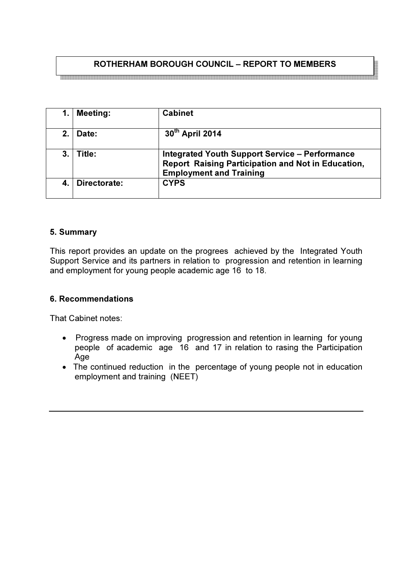# ROTHERHAM BOROUGH COUNCIL – REPORT TO MEMBERS

|         | <b>Meeting:</b> | <b>Cabinet</b>                                                                                                                                |
|---------|-----------------|-----------------------------------------------------------------------------------------------------------------------------------------------|
| $2_{-}$ | Date:           | 30th April 2014                                                                                                                               |
| 3.      | Title:          | <b>Integrated Youth Support Service - Performance</b><br>Report Raising Participation and Not in Education,<br><b>Employment and Training</b> |
|         | Directorate:    | <b>CYPS</b>                                                                                                                                   |

#### 5. Summary

This report provides an update on the progrees achieved by the Integrated Youth Support Service and its partners in relation to progression and retention in learning and employment for young people academic age 16 to 18.

#### 6. Recommendations

That Cabinet notes:

- Progress made on improving progression and retention in learning for young people of academic age 16 and 17 in relation to rasing the Participation Age
- The continued reduction in the percentage of young people not in education employment and training (NEET)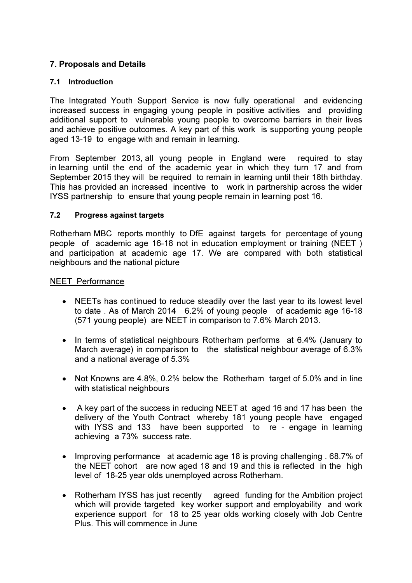# 7. Proposals and Details

#### 7.1 Introduction

The Integrated Youth Support Service is now fully operational and evidencing increased success in engaging young people in positive activities and providing additional support to vulnerable young people to overcome barriers in their lives and achieve positive outcomes. A key part of this work is supporting young people aged 13-19 to engage with and remain in learning.

From September 2013, all young people in England were required to stay in learning until the end of the academic year in which they turn 17 and from September 2015 they will be required to remain in learning until their 18th birthday. This has provided an increased incentive to work in partnership across the wider IYSS partnership to ensure that young people remain in learning post 16.

#### 7.2 Progress against targets

Rotherham MBC reports monthly to DfE against targets for percentage of young people of academic age 16-18 not in education employment or training (NEET ) and participation at academic age 17. We are compared with both statistical neighbours and the national picture

#### NEET Performance

- NEETs has continued to reduce steadily over the last year to its lowest level to date . As of March 2014 6.2% of young people of academic age 16-18 (571 young people) are NEET in comparison to 7.6% March 2013.
- In terms of statistical neighbours Rotherham performs at 6.4% (January to March average) in comparison to the statistical neighbour average of 6.3% and a national average of 5.3%
- Not Knowns are 4.8%, 0.2% below the Rotherham target of 5.0% and in line with statistical neighbours
- A key part of the success in reducing NEET at aged 16 and 17 has been the delivery of the Youth Contract whereby 181 young people have engaged with IYSS and 133 have been supported to re - engage in learning achieving a 73% success rate.
- Improving performance at academic age 18 is proving challenging . 68.7% of the NEET cohort are now aged 18 and 19 and this is reflected in the high level of 18-25 year olds unemployed across Rotherham.
- Rotherham IYSS has just recently agreed funding for the Ambition project which will provide targeted key worker support and employability and work experience support for 18 to 25 year olds working closely with Job Centre Plus. This will commence in June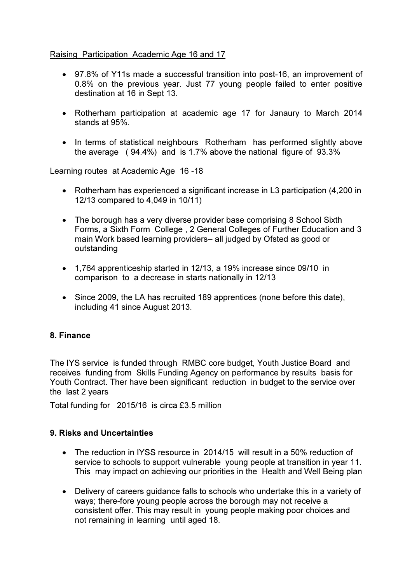## Raising Participation Academic Age 16 and 17

- 97.8% of Y11s made a successful transition into post-16, an improvement of 0.8% on the previous year. Just 77 young people failed to enter positive destination at 16 in Sept 13.
- Rotherham participation at academic age 17 for Janaury to March 2014 stands at 95%.
- In terms of statistical neighbours Rotherham has performed slightly above the average ( 94.4%) and is 1.7% above the national figure of 93.3%

Learning routes at Academic Age 16 -18

- Rotherham has experienced a significant increase in L3 participation (4,200 in 12/13 compared to 4,049 in 10/11)
- The borough has a very diverse provider base comprising 8 School Sixth Forms, a Sixth Form College , 2 General Colleges of Further Education and 3 main Work based learning providers– all judged by Ofsted as good or outstanding
- 1,764 apprenticeship started in 12/13, a 19% increase since 09/10 in comparison to a decrease in starts nationally in 12/13
- Since 2009, the LA has recruited 189 apprentices (none before this date), including 41 since August 2013.

### 8. Finance

The IYS service is funded through RMBC core budget, Youth Justice Board and receives funding from Skills Funding Agency on performance by results basis for Youth Contract. Ther have been significant reduction in budget to the service over the last 2 years

Total funding for 2015/16 is circa £3.5 million

### 9. Risks and Uncertainties

- The reduction in IYSS resource in 2014/15 will result in a 50% reduction of service to schools to support vulnerable young people at transition in year 11. This may impact on achieving our priorities in the Health and Well Being plan
- Delivery of careers guidance falls to schools who undertake this in a variety of ways; there-fore young people across the borough may not receive a consistent offer. This may result in young people making poor choices and not remaining in learning until aged 18.